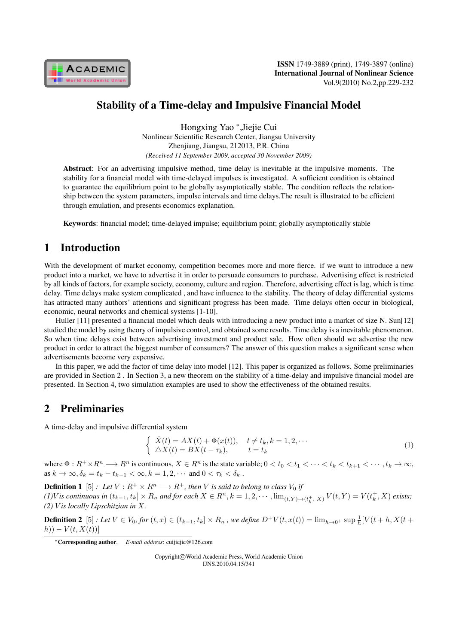

# Stability of a Time-delay and Impulsive Financial Model

Hongxing Yao *<sup>∗</sup>* ,Jiejie Cui Nonlinear Scientific Research Center, Jiangsu University Zhenjiang, Jiangsu, 212013, P.R. China *(Received 11 September 2009, accepted 30 November 2009)*

Abstract: For an advertising impulsive method, time delay is inevitable at the impulsive moments. The stability for a financial model with time-delayed impulses is investigated. A sufficient condition is obtained to guarantee the equilibrium point to be globally asymptotically stable. The condition reflects the relationship between the system parameters, impulse intervals and time delays.The result is illustrated to be efficient through emulation, and presents economics explanation.

Keywords: financial model; time-delayed impulse; equilibrium point; globally asymptotically stable

# 1 Introduction

With the development of market economy, competition becomes more and more fierce. if we want to introduce a new product into a market, we have to advertise it in order to persuade consumers to purchase. Advertising effect is restricted by all kinds of factors, for example society, economy, culture and region. Therefore, advertising effect is lag, which is time delay. Time delays make system complicated , and have influence to the stability. The theory of delay differential systems has attracted many authors' attentions and significant progress has been made. Time delays often occur in biological, economic, neural networks and chemical systems [1-10].

Huller [11] presented a financial model which deals with introducing a new product into a market of size N. Sun[12] studied the model by using theory of impulsive control, and obtained some results. Time delay is a inevitable phenomenon. So when time delays exist between advertising investment and product sale. How often should we advertise the new product in order to attract the biggest number of consumers? The answer of this question makes a significant sense when advertisements become very expensive.

In this paper, we add the factor of time delay into model [12]. This paper is organized as follows. Some preliminaries are provided in Section 2 . In Section 3, a new theorem on the stability of a time-delay and impulsive financial model are presented. In Section 4, two simulation examples are used to show the effectiveness of the obtained results.

### 2 Preliminaries

A time-delay and impulsive differential system

$$
\begin{cases}\n\dot{X}(t) = AX(t) + \Phi(x(t)), & t \neq t_k, k = 1, 2, \cdots \\
\Delta X(t) = BX(t - \tau_k), & t = t_k\n\end{cases}
$$
\n(1)

where  $\Phi: R^+ \times R^n \longrightarrow R^n$  is continuous,  $X \in R^n$  is the state variable;  $0 < t_0 < t_1 < \cdots < t_k < t_{k+1} < \cdots, t_k \to \infty$ , as  $k \to \infty$ ,  $\delta_k = t_k - t_{k-1} < \infty$ ,  $k = 1, 2, \cdots$  and  $0 < \tau_k < \delta_k$ .

**Definition 1** [5] *: Let*  $V: R^+ \times R^n \longrightarrow R^+$ , then V is said to belong to class  $V_0$  if

(1)V is continuous in  $(t_{k-1}, t_k] \times R_n$  and for each  $X \in R^n$ ,  $k = 1, 2, \cdots$ ,  $\lim_{(t, Y) \to (t_k^+, X)} V(t, Y) = V(t_k^+, X)$  exists;  $(2)$  *V* is locally Lipschitzian in *X*.

**Definition 2**  $[5]$ : Let  $V \in V_0$ , for  $(t, x) \in (t_{k-1}, t_k] \times R_n$ , we define  $D^+V(t, x(t)) = \lim_{h \to 0^+} \sup_{h \to 0^+} \frac{1}{h} [V(t+h, X(t+h), h)]$  $(h)) - V(t, X(t))$ ]

Copyright*⃝*c World Academic Press, World Academic Union IJNS.2010.04.15/341

*<sup>∗</sup>*Corresponding author. *E-mail address*: cuijiejie@126.com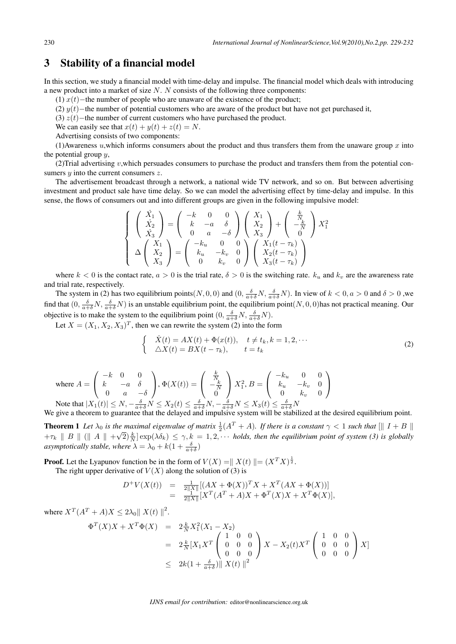### 3 Stability of a financial model

In this section, we study a financial model with time-delay and impulse. The financial model which deals with introducing a new product into a market of size  $N$ .  $N$  consists of the following three components:

(1)  $x(t)$ −the number of people who are unaware of the existence of the product;

(2)  $y(t)$ −the number of potential customers who are aware of the product but have not get purchased it,

(3)  $z(t)$ −the number of current customers who have purchased the product.

We can easily see that  $x(t) + y(t) + z(t) = N$ .

Advertising consists of two components:

(1)Awareness  $u$ , which informs consumers about the product and thus transfers them from the unaware group  $x$  into the potential group  $y$ ,

(2)Trial advertising  $v$ , which persuades consumers to purchase the product and transfers them from the potential consumers  $y$  into the current consumers  $z$ .

The advertisement broadcast through a network, a national wide TV network, and so on. But between advertising investment and product sale have time delay. So we can model the advertising effect by time-delay and impulse. In this sense, the flows of consumers out and into different groups are given in the following impulsive model:

$$
\begin{cases}\n\begin{pmatrix}\n\dot{X}_1 \\
\dot{X}_2 \\
\dot{X}_3\n\end{pmatrix} = \begin{pmatrix}\n-k & 0 & 0 \\
k & -a & \delta \\
0 & a & -\delta\n\end{pmatrix} \begin{pmatrix}\nX_1 \\
X_2 \\
X_3\n\end{pmatrix} + \begin{pmatrix}\n\frac{k}{N_t} \\
-\frac{k}{N} \\
0\n\end{pmatrix} X_1^2 \\
\Delta \begin{pmatrix}\nX_1 \\
X_2 \\
X_3\n\end{pmatrix} = \begin{pmatrix}\n-k_u & 0 & 0 \\
k_u & -k_v & 0 \\
0 & k_v & 0\n\end{pmatrix} \begin{pmatrix}\nX_1(t - \tau_k) \\
X_2(t - \tau_k) \\
X_3(t - \tau_k)\n\end{pmatrix}\n\end{cases}
$$

where  $k < 0$  is the contact rate,  $a > 0$  is the trial rate,  $\delta > 0$  is the switching rate.  $k_u$  and  $k_v$  are the awareness rate and trial rate, respectively.

The system in (2) has two equilibrium points(*N*, 0, 0) and  $(0, \frac{\delta}{a+\delta}N, \frac{\delta}{a+\delta}N)$ . In view of  $k < 0, a > 0$  and  $\delta > 0$ , we find that  $(0, \frac{\delta}{a+\delta}N, \frac{\delta}{a+\delta}N)$  is an unstable equilibrium point, the equilibrium point $(N, 0, 0)$  has not practical meaning. Our objective is to make the system to the equilibrium point  $(0, \frac{\delta}{a+\delta}N, \frac{\delta}{a+\delta}N)$ .

Let  $X = (X_1, X_2, X_3)^T$ , then we can rewrite the system (2) into the form

$$
\begin{cases}\n\dot{X}(t) = AX(t) + \Phi(x(t)), & t \neq t_k, k = 1, 2, \cdots \\
\Delta X(t) = BX(t - \tau_k), & t = t_k\n\end{cases}
$$
\n(2)

where 
$$
A = \begin{pmatrix} -k & 0 & 0 \\ k & -a & \delta \\ 0 & a & -\delta \end{pmatrix}
$$
,  $\Phi(X(t)) = \begin{pmatrix} \frac{k}{N} \\ -\frac{k}{N} \\ 0 \end{pmatrix}$   $X_1^2$ ,  $B = \begin{pmatrix} -k_u & 0 & 0 \\ k_u & -k_v & 0 \\ 0 & k_v & 0 \end{pmatrix}$   
Note that  $|X_1(t)| \le N, -\frac{\delta}{\delta + \delta} N \le X_2(t) \le \frac{\delta}{\delta + \delta} N, -\frac{\delta}{\delta + \delta} N \le X_3(t) \le \frac{\delta}{\delta + \delta} N$ 

Note that  $|X_1(t)| \le N$ ,  $-\frac{\delta}{a+\delta}N \le X_2(t) \le \frac{\delta}{a+\delta}N$ ,  $-\frac{\delta}{a+\delta}N \le X_3(t) \le \frac{\delta}{a+\delta}N$ We give a theorem to guarantee that the delayed and impulsive system will be stabilized at the desired equilibrium point.

**Theorem 1** Let  $\lambda_0$  is the maximal eigenvalue of matrix  $\frac{1}{2}(A^T + A)$ . If there is a constant  $\gamma < 1$  such that  $\|\|I + B\|$  $+ \tau_k \parallel B \parallel (\parallel A \parallel +\sqrt{2})\frac{k}{N}]\exp(\lambda \delta_k) \leq \gamma, k = 1, 2, \cdots$  holds, then the equilibrium point of system (3) is globally *asymptotically stable, where*  $\lambda = \lambda_0 + k(1 + \frac{\delta}{a + \delta})$ 

**Proof.** Let the Lyapunov function be in the form of  $V(X) = ||X(t)|| = (X^T X)^{\frac{1}{2}}$ .

The right upper derivative of  $V(X)$  along the solution of (3) is

$$
D^+V(X(t)) = \frac{1}{2\|X\|} [(AX + \Phi(X))^T X + X^T (AX + \Phi(X))]
$$
  
= 
$$
\frac{1}{2\|X\|} [X^T (A^T + A)X + \Phi^T (X)X + X^T \Phi(X)],
$$

where  $X^T(A^T + A)X \le 2\lambda_0 || X(t) ||^2$ .

$$
\begin{array}{rcl}\n\Phi^T(X)X + X^T \Phi(X) & = & 2 \frac{k}{N} X_1^2 (X_1 - X_2) \\
& = & 2 \frac{k}{N} [X_1 X^T \begin{pmatrix} 1 & 0 & 0 \\ 0 & 0 & 0 \\ 0 & 0 & 0 \end{pmatrix} X - X_2(t) X^T \begin{pmatrix} 1 & 0 & 0 \\ 0 & 0 & 0 \\ 0 & 0 & 0 \end{pmatrix} X] \\
& \leq & 2k \left( 1 + \frac{\delta}{a + \delta} \right) \| X(t) \|^2\n\end{array}
$$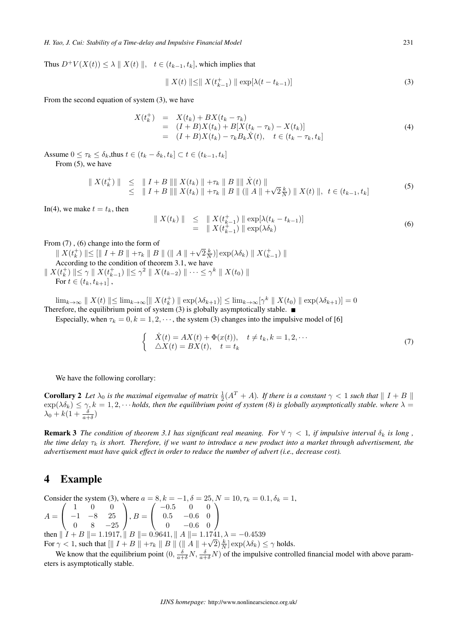Thus  $D^+V(X(t)) \leq \lambda ||X(t)||$ ,  $t \in (t_{k-1}, t_k]$ , which implies that

$$
\| X(t) \| \le \| X(t_{k-1}^+) \| \exp[\lambda(t - t_{k-1})]
$$
\n(3)

From the second equation of system (3), we have

$$
X(t_k^+) = X(t_k) + BX(t_k - \tau_k)
$$
  
=  $(I + B)X(t_k) + B[X(t_k - \tau_k) - X(t_k)]$   
=  $(I + B)X(t_k) - \tau_k B_k \dot{X}(t), \quad t \in (t_k - \tau_k, t_k]$  (4)

Assume  $0 \leq \tau_k \leq \delta_k$ , thus  $t \in (t_k - \delta_k, t_k] \subset t \in (t_{k-1}, t_k]$ 

From (5), we have

$$
\| X(t_k^+) \| \le \| I + B \| \| X(t_k) \| + \tau_k \| B \| \| \dot{X}(t) \| \le \| I + B \| \| X(t_k) \| + \tau_k \| B \| ( \| A \| + \sqrt{2} \frac{k}{N}) \| X(t) \|, \ t \in (t_{k-1}, t_k]
$$
\n(5)

In(4), we make  $t = t_k$ , then

$$
\begin{array}{rcl} \| X(t_k) \| & \leq & \| X(t_{k-1}^+) \| \exp[\lambda(t_k - t_{k-1})] \\ & = & \| X(t_{k-1}^+) \| \exp(\lambda \delta_k) \end{array} \tag{6}
$$

From (7) , (6) change into the form of

 $\|X(t_k^+) \| \leq [\|I + B\| + \tau_k \|B\| (\|A\| + \sqrt{2\frac{k}{N}}) \exp(\lambda \delta_k) \|X(t_{k-1}^+) \|$ According to the condition of theorem 3.1, we have  $\| X(t_k^+) \| \leq \gamma \| X(t_{k-1}^+) \| \leq \gamma^2 \| X(t_{k-2}) \| \cdots \leq \gamma^k \| X(t_0) \|$ For  $t \in (t_k, t_{k+1}]$ ,

 $\lim_{k\to\infty}$  *∥*  $X(t)$  *∥*  $\leq$  lim<sub>*k*→∞</sub>[*∥*  $X(t_k^+)$  *∥* exp( $\lambda \delta_{k+1}$ *)*]  $\leq$  lim<sub>*k*→∞</sub>[ $\gamma^k$  *∥*  $X(t_0)$  *∥* exp( $\lambda \delta_{k+1}$ *)*] = 0 Therefore, the equilibrium point of system  $(3)$  is globally asymptotically stable.  $\blacksquare$ 

Especially, when  $\tau_k = 0, k = 1, 2, \dots$ , the system (3) changes into the impulsive model of [6]

$$
\begin{cases}\n\dot{X}(t) = AX(t) + \Phi(x(t)), \quad t \neq t_k, k = 1, 2, \cdots \\
\Delta X(t) = BX(t), \quad t = t_k\n\end{cases}
$$
\n(7)

We have the following corollary:

**Corollary 2** Let  $\lambda_0$  is the maximal eigenvalue of matrix  $\frac{1}{2}(A^T + A)$ . If there is a constant  $\gamma < 1$  such that  $||I + B||$  $\exp(\lambda \delta_k) \leq \gamma$ ,  $k = 1, 2, \cdots$  holds, then the equilibrium point of system (8) is globally asymptotically stable. where  $\lambda =$  $\lambda_0 + k(1 + \frac{\delta}{a+\delta})$ 

**Remark 3** *The condition of theorem 3.1 has significant real meaning. For*  $\forall$   $\gamma$  < 1, *if impulsive interval*  $\delta_k$  *is long*, *the time delay*  $\tau_k$  *is short. Therefore, if we want to introduce a new product into a market through advertisement, the advertisement must have quick effect in order to reduce the number of advert (i.e., decrease cost).*

#### 4 Example

Consider the system (3), where  $a = 8, k = -1, \delta = 25, N = 10, \tau_k = 0.1, \delta_k = 1$ ,  $A=$  $\sqrt{2}$  $\sqrt{2}$ 1 0 0 *−*1 *−*8 25 0 8 *−*25 ⎞  $\Big\}$ ,  $B=$  $\sqrt{2}$  $\mathbf{I}$ *−*0*.*5 0 0 0*.*5 *−*0*.*6 0 0 *−*0*.*6 0 ⎞  $\overline{ }$ then  $\|\dot{I} + B\| = 1.1917$ ,  $\|\dot{B}\| = 0.9641$ ,  $\|\dot{A}\| = 1.1741$ ,  $\lambda = -0.4539$ For  $\gamma < 1$ , such that  $\left[\|I + B\| + \tau_k \|B\| \right] \left(\|A\| + \sqrt{2}\right) \frac{k}{N} \exp(\lambda \delta_k) \leq \gamma$  holds.

We know that the equilibrium point  $(0, \frac{\delta}{a+\delta}N, \frac{\delta}{a+\delta}N)$  of the impulsive controlled financial model with above parameters is asymptotically stable.